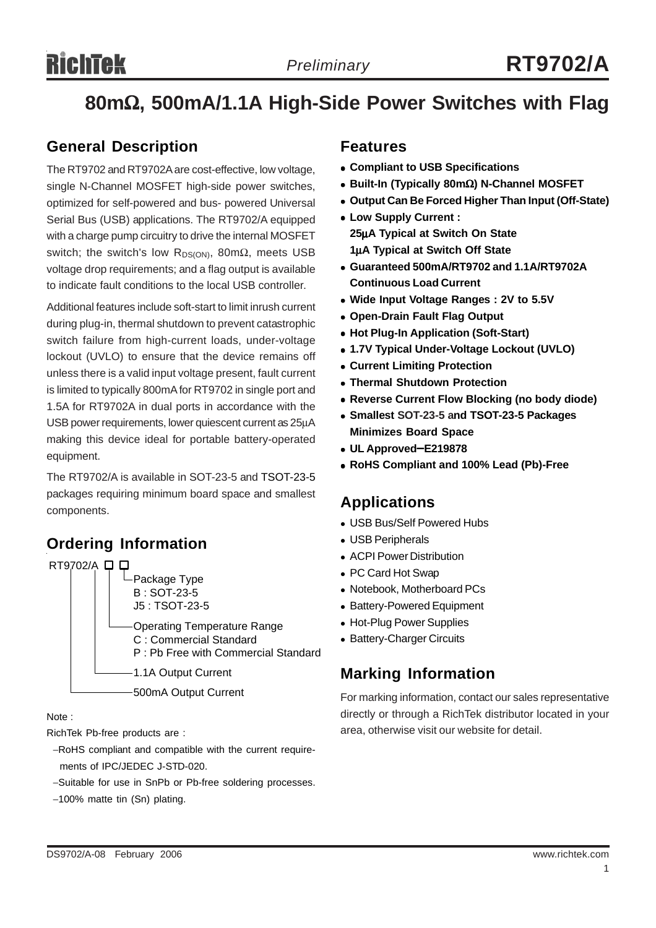# **RichTek**

# **80m**Ω**, 500mA/1.1A High-Side Power Switches with Flag**

# **General Description**

The RT9702 and RT9702A are cost-effective, low voltage, single N-Channel MOSFET high-side power switches, optimized for self-powered and bus- powered Universal Serial Bus (USB) applications. The RT9702/A equipped with a charge pump circuitry to drive the internal MOSFET switch; the switch's low R<sub>DS(ON)</sub>, 80m $\Omega$ , meets USB voltage drop requirements; and a flag output is available to indicate fault conditions to the local USB controller.

Additional features include soft-start to limit inrush current during plug-in, thermal shutdown to prevent catastrophic switch failure from high-current loads, under-voltage lockout (UVLO) to ensure that the device remains off unless there is a valid input voltage present, fault current is limited to typically 800mA for RT9702 in single port and 1.5A for RT9702A in dual ports in accordance with the USB power requirements, lower quiescent current as 25μA making this device ideal for portable battery-operated equipment.

The RT9702/A is available in SOT-23-5 and TSOT-23-5 packages requiring minimum board space and smallest components.

# **Ordering Information**



Note :

RichTek Pb-free products are :

- −RoHS compliant and compatible with the current require ments of IPC/JEDEC J-STD-020.
- −Suitable for use in SnPb or Pb-free soldering processes.
- −100% matte tin (Sn) plating.

## **Features**

- <sup>z</sup> **Compliant to USB Specifications**
- <sup>z</sup> **Built-In (Typically 80m**Ω**) N-Channel MOSFET**
- **Output Can Be Forced Higher Than Input (Off-State)**
- $\bullet$  **Low Supply Current : 25**μ**A Typical at Switch On State 1**μ**A Typical at Switch Off State**
- <sup>z</sup> **Guaranteed 500mA/RT9702 and 1.1A/RT9702A Continuous Load Current**
- Wide Input Voltage Ranges : 2V to 5.5V
- **Open-Drain Fault Flag Output**
- <sup>z</sup> **Hot Plug-In Application (Soft-Start)**
- <sup>z</sup> **1.7V Typical Under-Voltage Lockout (UVLO)**
- **Current Limiting Protection**
- **Thermal Shutdown Protection**
- **Reverse Current Flow Blocking (no body diode)**
- <sup>z</sup> **Smallest SOT-23-5 and TSOT-23-5 Packages Minimizes Board Space**
- <sup>z</sup> **UL Approved**−**E219878**
- <sup>z</sup> **RoHS Compliant and 100% Lead (Pb)-Free**

## **Applications**

- USB Bus/Self Powered Hubs
- USB Peripherals
- ACPI Power Distribution
- PC Card Hot Swap
- Notebook, Motherboard PCs
- Battery-Powered Equipment
- Hot-Plug Power Supplies
- Battery-Charger Circuits

## **Marking Information**

For marking information, contact our sales representative directly or through a RichTek distributor located in your area, otherwise visit our website for detail.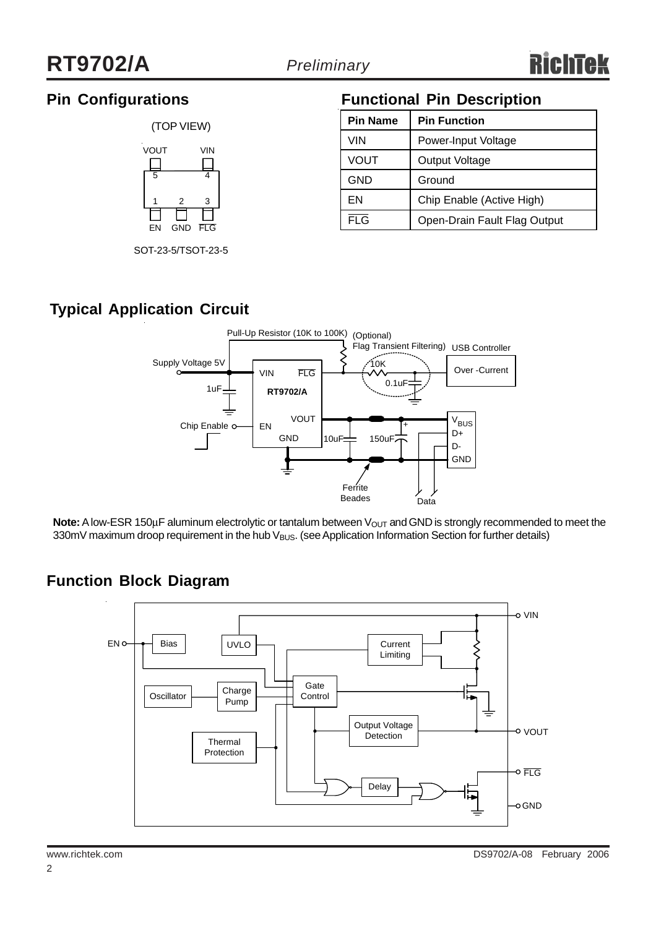# **Pin Configurations**



SOT-23-5/TSOT-23-5

# **Functional Pin Description**

| <b>Pin Name</b>      | <b>Pin Function</b>          |  |  |  |
|----------------------|------------------------------|--|--|--|
| VIN                  | Power-Input Voltage          |  |  |  |
| VOUT                 | Output Voltage               |  |  |  |
| <b>GND</b><br>Ground |                              |  |  |  |
| EN                   | Chip Enable (Active High)    |  |  |  |
| <b>FLG</b>           | Open-Drain Fault Flag Output |  |  |  |

# **Typical Application Circuit**



**Note:** A low-ESR 150μF aluminum electrolytic or tantalum between V<sub>OUT</sub> and GND is strongly recommended to meet the 330mV maximum droop requirement in the hub V<sub>BUS</sub>. (see Application Information Section for further details)

# **Function Block Diagram**

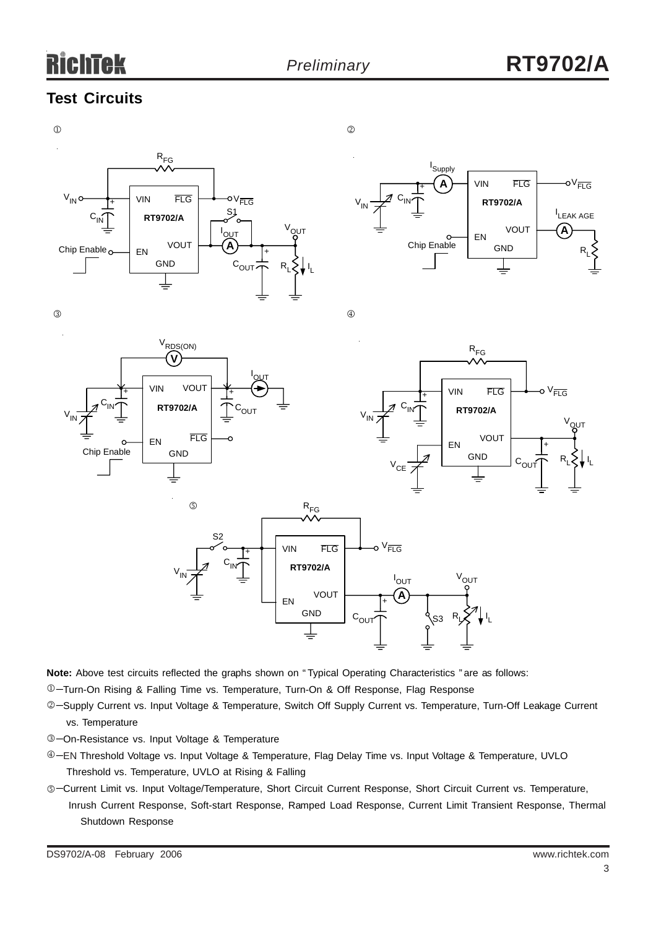# **Test Circuits**



**Note:** Above test circuits reflected the graphs shown on " Typical Operating Characteristics " are as follows:

−Turn-On Rising & Falling Time vs. Temperature, Turn-On & Off Response, Flag Response 1

- ©-Supply Current vs. Input Voltage & Temperature, Switch Off Supply Current vs. Temperature, Turn-Off Leakage Current vs. Temperature
- −On-Resistance vs. Input Voltage & Temperature 3
- ⊕-EN Threshold Voltage vs. Input Voltage & Temperature, Flag Delay Time vs. Input Voltage & Temperature, UVLO Threshold vs. Temperature, UVLO at Rising & Falling
- ©-Current Limit vs. Input Voltage/Temperature, Short Circuit Current Response, Short Circuit Current vs. Temperature, Inrush Current Response, Soft-start Response, Ramped Load Response, Current Limit Transient Response, Thermal Shutdown Response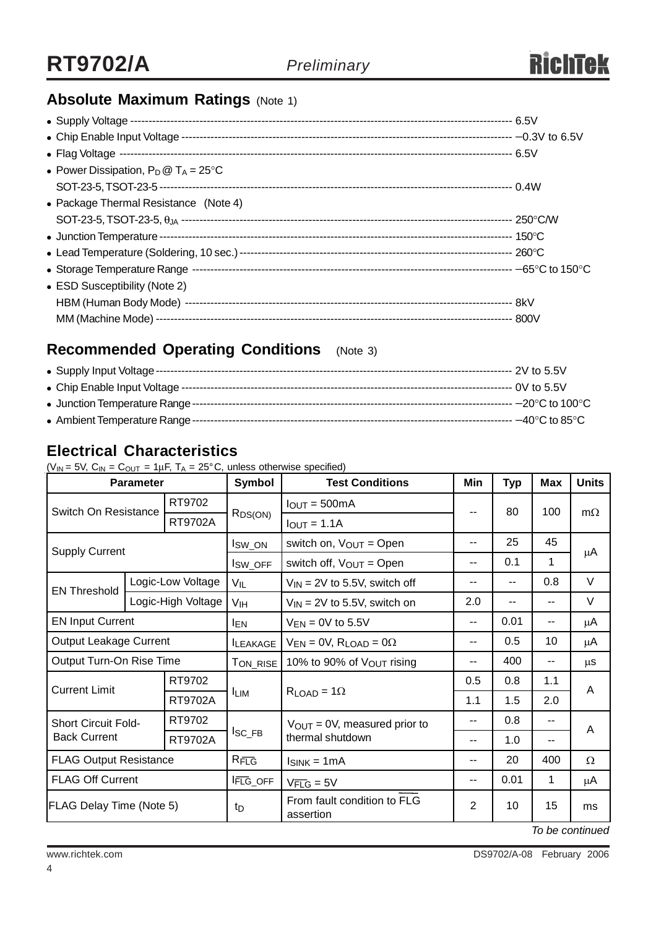# **Absolute Maximum Ratings (Note 1)**

| • Power Dissipation, $P_D @ T_A = 25^{\circ}C$ |  |
|------------------------------------------------|--|
|                                                |  |
| • Package Thermal Resistance (Note 4)          |  |
|                                                |  |
|                                                |  |
|                                                |  |
|                                                |  |
| • ESD Susceptibility (Note 2)                  |  |
|                                                |  |
|                                                |  |

# **Recommended Operating Conditions** (Note 3)

# **Electrical Characteristics**

 $(V_{IN} = 5V, C_{IN} = C_{OUT} = 1 \mu F, T_A = 25^{\circ}C,$  unless otherwise specified)

| <b>Parameter</b>                                  |  | <b>Symbol</b>        | <b>Test Conditions</b>                   | Min                                                           | <b>Typ</b> | <b>Max</b> | <b>Units</b> |           |
|---------------------------------------------------|--|----------------------|------------------------------------------|---------------------------------------------------------------|------------|------------|--------------|-----------|
| RT9702<br>Switch On Resistance                    |  |                      | $R_{DS(ON)}$                             | $I_{OUT} = 500mA$                                             |            | 80         | 100          | $m\Omega$ |
|                                                   |  | RT9702A              |                                          | $I_{OUT} = 1.1A$                                              |            |            |              |           |
|                                                   |  | I <sub>SW_ON</sub>   | switch on, $V_{OUT} = Open$              | --                                                            | 25<br>45   |            |              |           |
| <b>Supply Current</b>                             |  |                      | I <sub>SW_OFF</sub>                      | switch off, $V_{OUT} = Open$<br>$- -$                         |            | 0.1        | 1            | μA        |
| <b>EN Threshold</b>                               |  | Logic-Low Voltage    | $V_{IL}$                                 | $V_{IN}$ = 2V to 5.5V, switch off<br>--<br>--                 |            |            | 0.8          | $\vee$    |
|                                                   |  | Logic-High Voltage   | V <sub>IH</sub>                          | $V_{IN}$ = 2V to 5.5V, switch on                              | 2.0<br>--  |            |              | V         |
| <b>EN Input Current</b>                           |  |                      | <b>IEN</b>                               | $V_{EN} = 0V$ to 5.5V                                         | $- -$      | 0.01       | $-$          | μA        |
| Output Leakage Current                            |  | <b>ILEAKAGE</b>      | $V_{EN} = 0V$ , $R_{LOAD} = 0\Omega$     | $- -$                                                         | 0.5        | 10         | μA           |           |
| Output Turn-On Rise Time                          |  |                      | TON_RISE                                 | 10% to 90% of Vout rising                                     | --         | 400        | --           | μS        |
| <b>Current Limit</b>                              |  | RT9702               |                                          | $R_{LOAD} = 1\Omega$                                          | 0.5        | 0.8        | 1.1          | A         |
|                                                   |  | RT9702A              | <b>ILIM</b>                              |                                                               | 1.1        | 1.5        | 2.0          |           |
| <b>Short Circuit Fold-</b><br><b>Back Current</b> |  | RT9702               |                                          | $V_{\text{OUT}} = 0V$ , measured prior to<br>thermal shutdown | --         | 0.8        | $-$          | A         |
|                                                   |  | RT9702A              | $I_{SC\_FB}$                             |                                                               | --         | 1.0        | --           |           |
| <b>FLAG Output Resistance</b>                     |  | $R_{\overline{FLG}}$ | $I_{SINK} = 1mA$                         | $- -$                                                         | 20         | 400        | Ω            |           |
| <b>FLAG Off Current</b>                           |  | <b>IFLG_OFF</b>      | $V_{\overline{FLG}} = 5V$                | --                                                            | 0.01       | 1          | μA           |           |
| <b>FLAG Delay Time (Note 5)</b>                   |  | t <sub>D</sub>       | From fault condition to FLG<br>assertion | $\overline{2}$                                                | 10         | 15         | ms           |           |

*To be continued*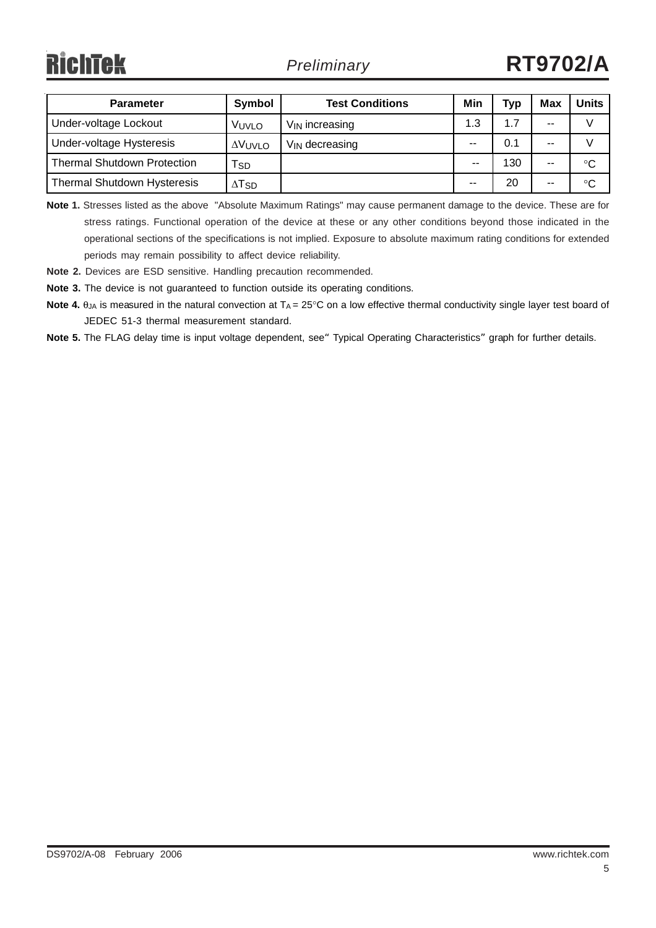| <b>Parameter</b>                   | Symbol                    | <b>Test Conditions</b>     | Min | Тур | Max   | Units       |
|------------------------------------|---------------------------|----------------------------|-----|-----|-------|-------------|
| Under-voltage Lockout              | Vuvlo                     | $V_{\text{IN}}$ increasing | 1.3 | 1.7 | $- -$ |             |
| Under-voltage Hysteresis           | ΔVUVLO                    | $V_{\text{IN}}$ decreasing | --  | 0.1 | $- -$ |             |
| Thermal Shutdown Protection        | <b>SD</b>                 |                            | --  | 130 | $- -$ | $^{\circ}C$ |
| <b>Thermal Shutdown Hysteresis</b> | $\Delta$ T $_{\text{SD}}$ |                            | --  | 20  | $- -$ | °C          |

**Note 1.** Stresses listed as the above "Absolute Maximum Ratings" may cause permanent damage to the device. These are for stress ratings. Functional operation of the device at these or any other conditions beyond those indicated in the operational sections of the specifications is not implied. Exposure to absolute maximum rating conditions for extended periods may remain possibility to affect device reliability.

**Note 2.** Devices are ESD sensitive. Handling precaution recommended.

**Note 3.** The device is not guaranteed to function outside its operating conditions.

**Note 4.** θ<sub>JA</sub> is measured in the natural convection at T<sub>A</sub> = 25°C on a low effective thermal conductivity single layer test board of JEDEC 51-3 thermal measurement standard.

Note 5. The FLAG delay time is input voltage dependent, see<sup>"</sup> Typical Operating Characteristics" graph for further details.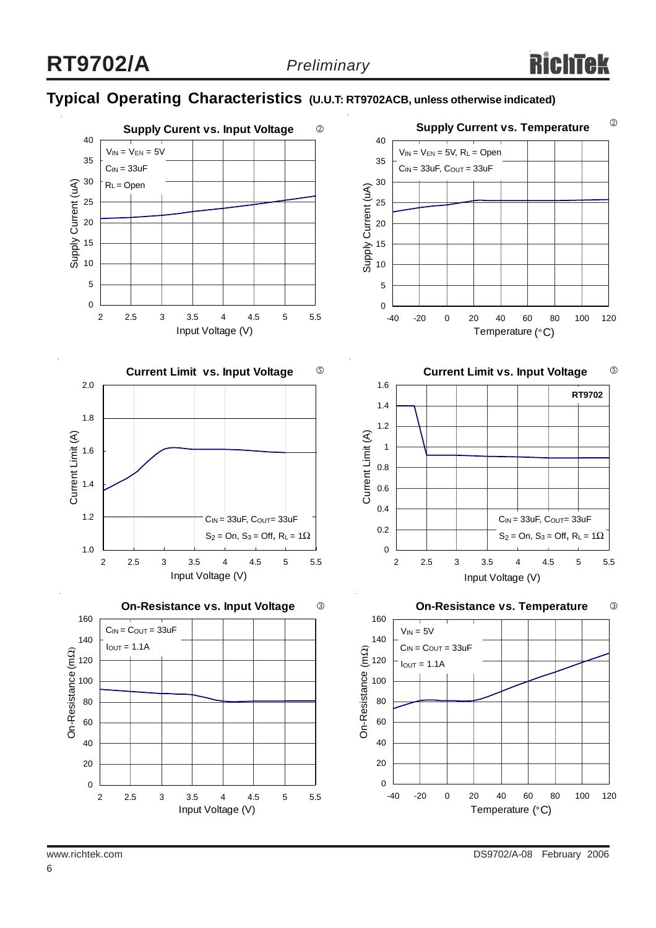# **Typical Operating Characteristics (U.U.T: RT9702ACB, unless otherwise indicated)**

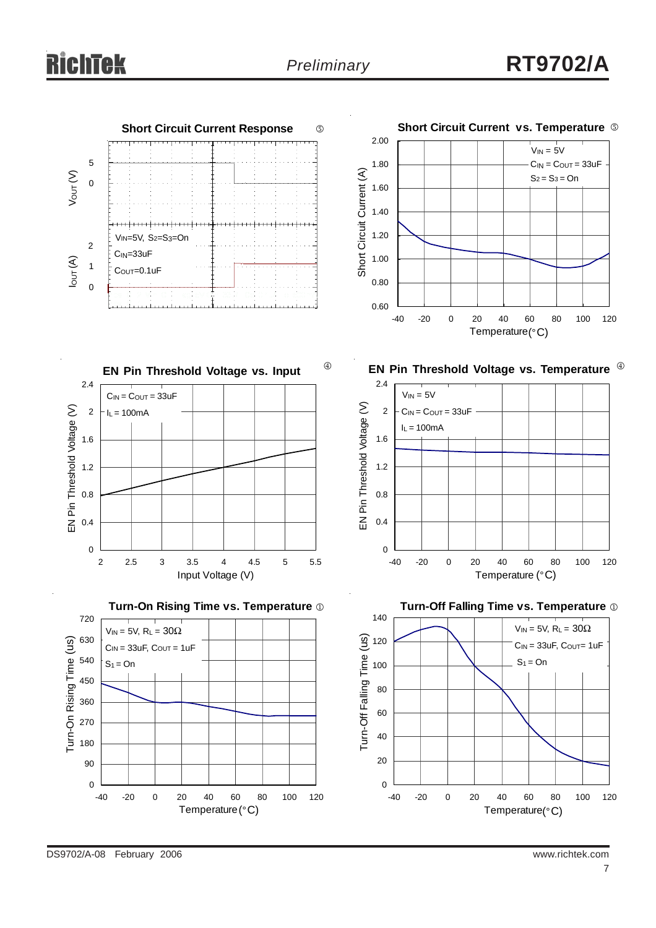

DS9702/A-08 February 2006 www.richtek.com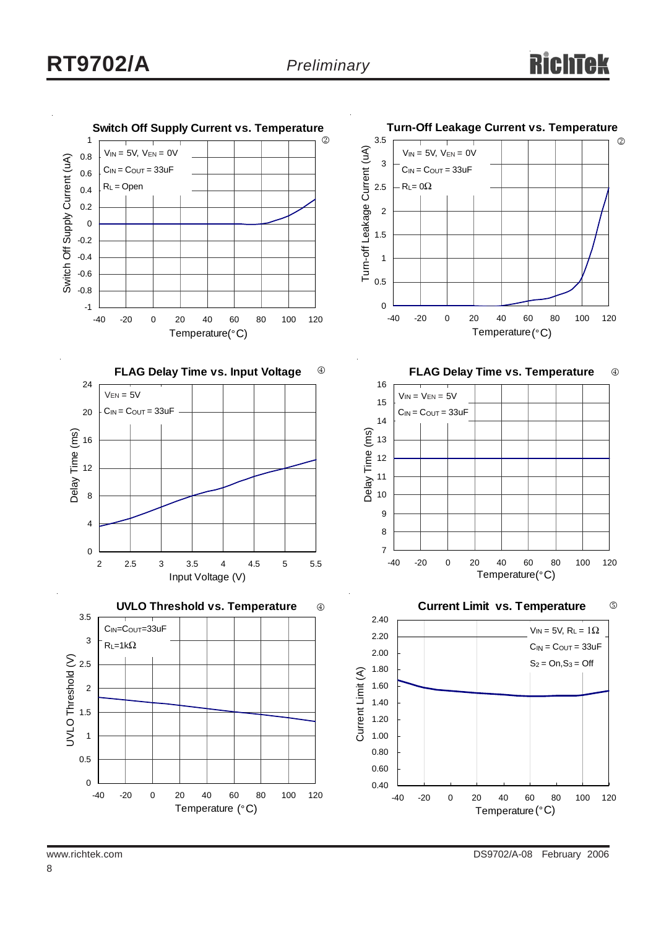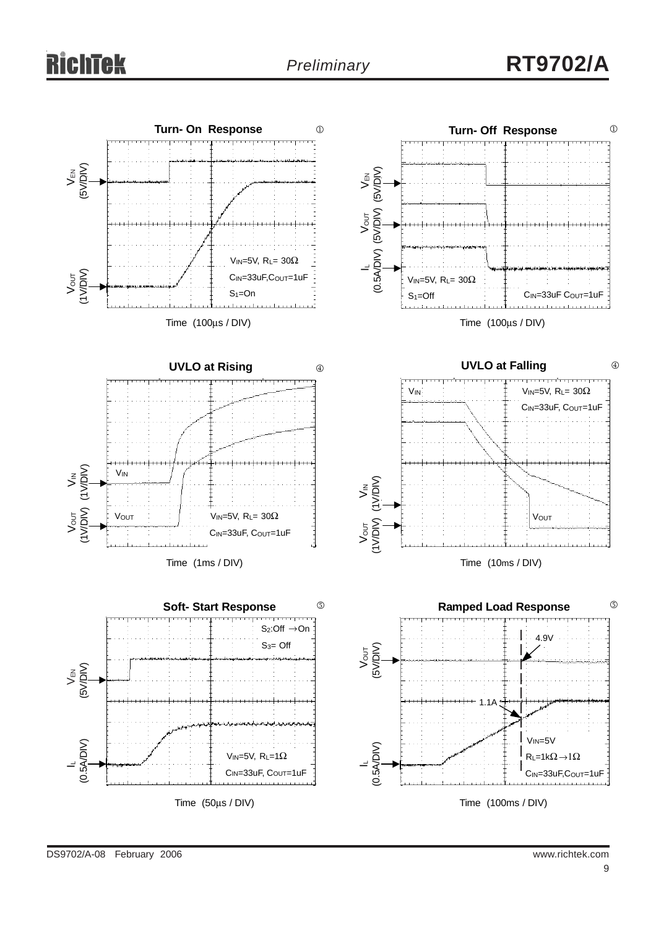# *Preliminary* **RT9702/A**

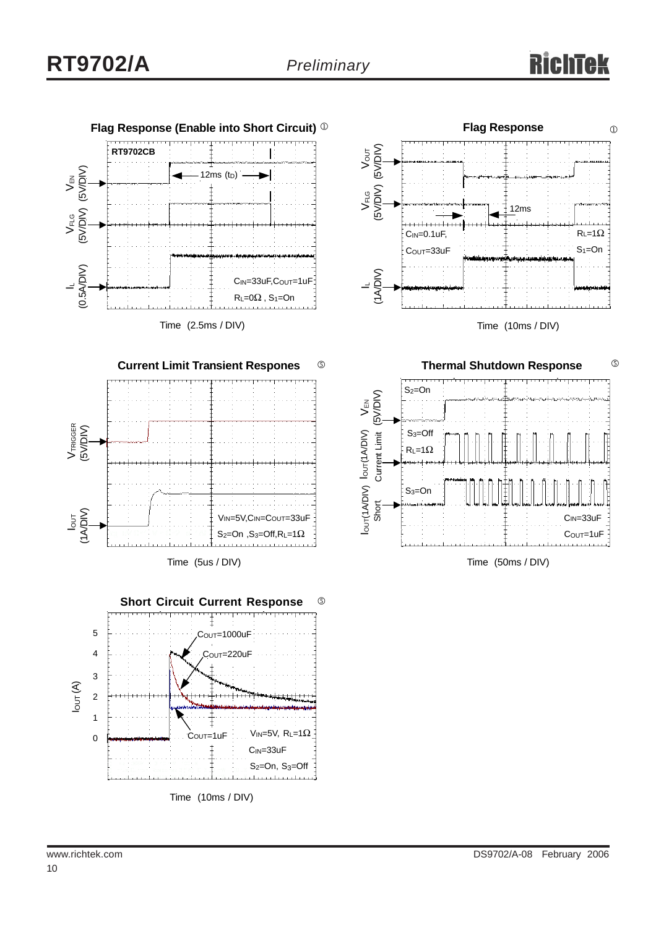

Time (2.5ms / DIV)



**Short Circuit Current Response**  $\circledS$ 5 Cout=1000uF 4 COUT=220uF 3  $I_{OUT}(A)$ 2 1 V<sub>IN=5</sub>V,  $R_L=1\Omega$  COUT=1uF 0 CIN=33uF S<sub>2</sub>=On, S<sub>3</sub>=Off والمتمرط ويتمار Time (10ms / DIV)





Time (50ms / DIV)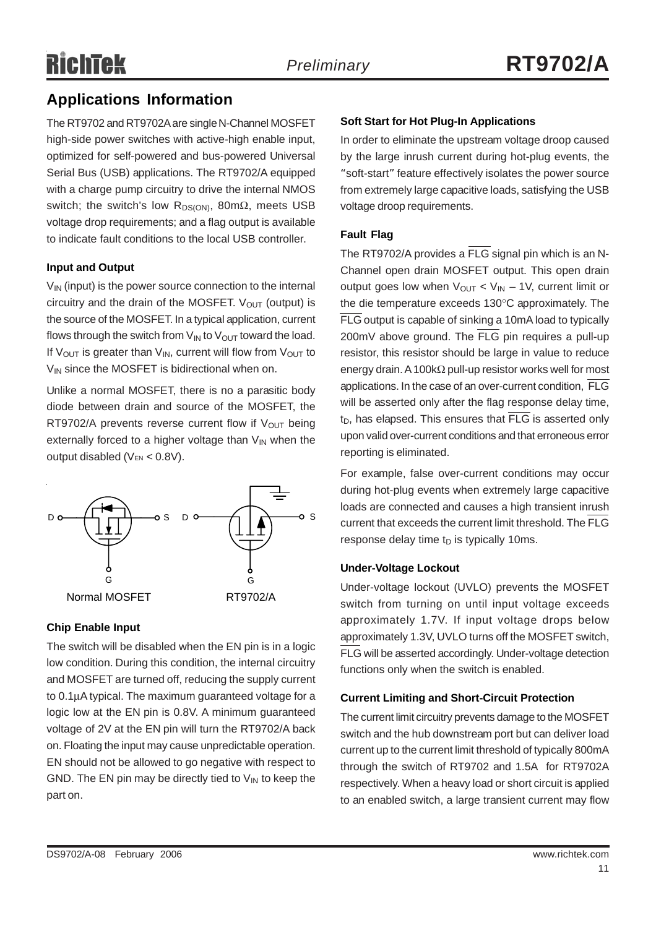# **Applications Information**

The RT9702 and RT9702A are single N-Channel MOSFET high-side power switches with active-high enable input, optimized for self-powered and bus-powered Universal Serial Bus (USB) applications. The RT9702/A equipped with a charge pump circuitry to drive the internal NMOS switch; the switch's low R<sub>DS(ON)</sub>, 80mΩ, meets USB voltage drop requirements; and a flag output is available to indicate fault conditions to the local USB controller.

#### **Input and Output**

 $V_{\text{IN}}$  (input) is the power source connection to the internal circuitry and the drain of the MOSFET.  $V_{OUT}$  (output) is the source of the MOSFET. In a typical application, current flows through the switch from  $V_{IN}$  to  $V_{OUT}$  toward the load. If  $V_{\text{OUT}}$  is greater than  $V_{\text{IN}}$ , current will flow from  $V_{\text{OUT}}$  to  $V_{IN}$  since the MOSFET is bidirectional when on.

Unlike a normal MOSFET, there is no a parasitic body diode between drain and source of the MOSFET, the RT9702/A prevents reverse current flow if  $V_{OUT}$  being externally forced to a higher voltage than  $V_{IN}$  when the output disabled ( $V_{EN}$  < 0.8V).



### **Chip Enable Input**

The switch will be disabled when the EN pin is in a logic low condition. During this condition, the internal circuitry and MOSFET are turned off, reducing the supply current to 0.1μA typical. The maximum guaranteed voltage for a logic low at the EN pin is 0.8V. A minimum guaranteed voltage of 2V at the EN pin will turn the RT9702/A back on. Floating the input may cause unpredictable operation. EN should not be allowed to go negative with respect to GND. The EN pin may be directly tied to  $V_{IN}$  to keep the part on.

### **Soft Start for Hot Plug-In Applications**

In order to eliminate the upstream voltage droop caused by the large inrush current during hot-plug events, the "soft-start" feature effectively isolates the power source from extremely large capacitive loads, satisfying the USB voltage droop requirements.

#### **Fault Flag**

The RT9702/A provides a FLG signal pin which is an N-Channel open drain MOSFET output. This open drain output goes low when  $V_{\text{OUT}}$  <  $V_{\text{IN}}$  – 1V, current limit or the die temperature exceeds 130°C approximately. The FLG output is capable of sinking a 10mA load to typically 200mV above ground. The FLG pin requires a pull-up resistor, this resistor should be large in value to reduce energy drain. A 100kΩ pull-up resistor works well for most applications. In the case of an over-current condition, FLG will be asserted only after the flag response delay time,  $t_D$ , has elapsed. This ensures that  $\overline{\text{FLG}}$  is asserted only upon valid over-current conditions and that erroneous error reporting is eliminated.

For example, false over-current conditions may occur during hot-plug events when extremely large capacitive loads are connected and causes a high transient inrush current that exceeds the current limit threshold. The FLG response delay time  $t<sub>D</sub>$  is typically 10ms.

#### **Under-Voltage Lockout**

Under-voltage lockout (UVLO) prevents the MOSFET switch from turning on until input voltage exceeds approximately 1.7V. If input voltage drops below approximately 1.3V, UVLO turns off the MOSFET switch, FLG will be asserted accordingly. Under-voltage detection functions only when the switch is enabled.

#### **Current Limiting and Short-Circuit Protection**

The current limit circuitry prevents damage to the MOSFET switch and the hub downstream port but can deliver load current up to the current limit threshold of typically 800mA through the switch of RT9702 and 1.5A for RT9702A respectively. When a heavy load or short circuit is applied to an enabled switch, a large transient current may flow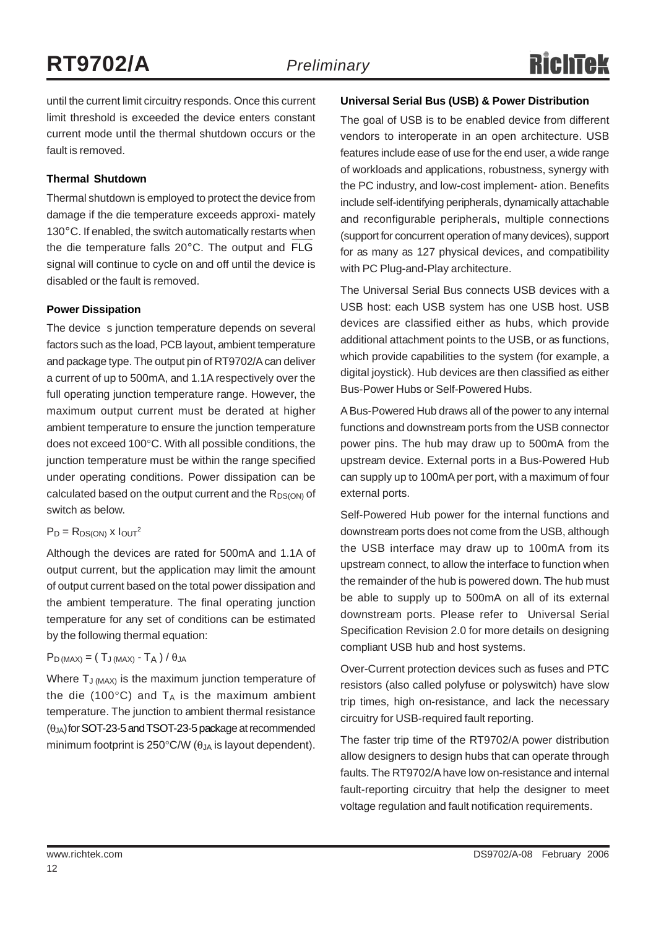until the current limit circuitry responds. Once this current limit threshold is exceeded the device enters constant current mode until the thermal shutdown occurs or the fault is removed.

#### **Thermal Shutdown**

Thermal shutdown is employed to protect the device from damage if the die temperature exceeds approxi- mately 130°C. If enabled, the switch automatically restarts when the die temperature falls 20°C. The output and FLG signal will continue to cycle on and off until the device is disabled or the fault is removed.

#### **Power Dissipation**

The device s junction temperature depends on several factors such as the load, PCB layout, ambient temperature and package type. The output pin of RT9702/A can deliver a current of up to 500mA, and 1.1A respectively over the full operating junction temperature range. However, the maximum output current must be derated at higher ambient temperature to ensure the junction temperature does not exceed 100°C. With all possible conditions, the junction temperature must be within the range specified under operating conditions. Power dissipation can be calculated based on the output current and the  $R_{DS(ON)}$  of switch as below.

#### $P_D = R_{DS(ON)} x 1_{OUT}^2$

Although the devices are rated for 500mA and 1.1A of output current, but the application may limit the amount of output current based on the total power dissipation and the ambient temperature. The final operating junction temperature for any set of conditions can be estimated by the following thermal equation:

#### $P_{D \, (MAX)} = (T_{J \, (MAX)} - T_A) / \theta_{JA}$

Where T<sub>J (MAX)</sub> is the maximum junction temperature of the die (100 $^{\circ}$ C) and T<sub>A</sub> is the maximum ambient temperature. The junction to ambient thermal resistance  $(\theta_{JA})$  for SOT-23-5 and TSOT-23-5 package at recommended minimum footprint is 250 $\degree$ C/W ( $\theta_{JA}$  is layout dependent).

#### **Universal Serial Bus (USB) & Power Distribution**

The goal of USB is to be enabled device from different vendors to interoperate in an open architecture. USB features include ease of use for the end user, a wide range of workloads and applications, robustness, synergy with the PC industry, and low-cost implement- ation. Benefits include self-identifying peripherals, dynamically attachable and reconfigurable peripherals, multiple connections (support for concurrent operation of many devices), support for as many as 127 physical devices, and compatibility with PC Plug-and-Play architecture.

The Universal Serial Bus connects USB devices with a USB host: each USB system has one USB host. USB devices are classified either as hubs, which provide additional attachment points to the USB, or as functions, which provide capabilities to the system (for example, a digital joystick). Hub devices are then classified as either Bus-Power Hubs or Self-Powered Hubs.

A Bus-Powered Hub draws all of the power to any internal functions and downstream ports from the USB connector power pins. The hub may draw up to 500mA from the upstream device. External ports in a Bus-Powered Hub can supply up to 100mA per port, with a maximum of four external ports.

Self-Powered Hub power for the internal functions and downstream ports does not come from the USB, although the USB interface may draw up to 100mA from its upstream connect, to allow the interface to function when the remainder of the hub is powered down. The hub must be able to supply up to 500mA on all of its external downstream ports. Please refer to Universal Serial Specification Revision 2.0 for more details on designing compliant USB hub and host systems.

Over-Current protection devices such as fuses and PTC resistors (also called polyfuse or polyswitch) have slow trip times, high on-resistance, and lack the necessary circuitry for USB-required fault reporting.

The faster trip time of the RT9702/A power distribution allow designers to design hubs that can operate through faults. The RT9702/A have low on-resistance and internal fault-reporting circuitry that help the designer to meet voltage regulation and fault notification requirements.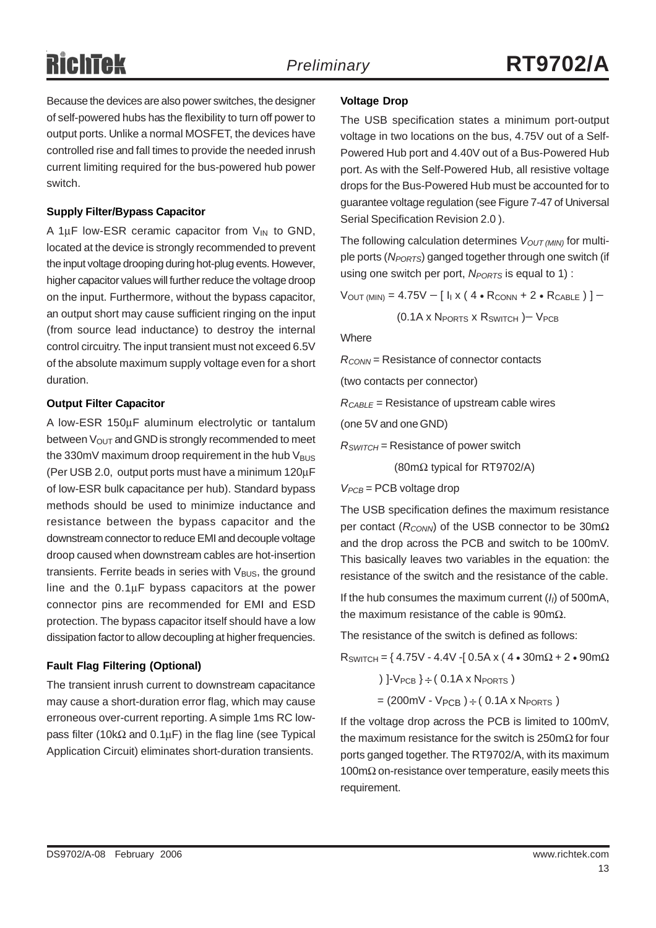Because the devices are also power switches, the designer of self-powered hubs has the flexibility to turn off power to output ports. Unlike a normal MOSFET, the devices have controlled rise and fall times to provide the needed inrush current limiting required for the bus-powered hub power switch.

#### **Supply Filter/Bypass Capacitor**

A 1 $\mu$ F low-ESR ceramic capacitor from  $V_{IN}$  to GND, located at the device is strongly recommended to prevent the input voltage drooping during hot-plug events. However, higher capacitor values will further reduce the voltage droop on the input. Furthermore, without the bypass capacitor, an output short may cause sufficient ringing on the input (from source lead inductance) to destroy the internal control circuitry. The input transient must not exceed 6.5V of the absolute maximum supply voltage even for a short duration.

#### **Output Filter Capacitor**

A low-ESR 150μF aluminum electrolytic or tantalum between  $V_{\text{OUT}}$  and GND is strongly recommended to meet the 330mV maximum droop requirement in the hub  $V_{\text{BUS}}$ (Per USB 2.0, output ports must have a minimum 120μF of low-ESR bulk capacitance per hub). Standard bypass methods should be used to minimize inductance and resistance between the bypass capacitor and the downstream connector to reduce EMI and decouple voltage droop caused when downstream cables are hot-insertion transients. Ferrite beads in series with  $V_{\text{BUS}}$ , the ground line and the 0.1μF bypass capacitors at the power connector pins are recommended for EMI and ESD protection. The bypass capacitor itself should have a low dissipation factor to allow decoupling at higher frequencies.

#### **Fault Flag Filtering (Optional)**

The transient inrush current to downstream capacitance may cause a short-duration error flag, which may cause erroneous over-current reporting. A simple 1ms RC lowpass filter (10kΩ and 0.1μF) in the flag line (see Typical Application Circuit) eliminates short-duration transients.

#### **Voltage Drop**

The USB specification states a minimum port-output voltage in two locations on the bus, 4.75V out of a Self-Powered Hub port and 4.40V out of a Bus-Powered Hub port. As with the Self-Powered Hub, all resistive voltage drops for the Bus-Powered Hub must be accounted for to guarantee voltage regulation (see Figure 7-47 of Universal Serial Specification Revision 2.0 ).

The following calculation determines  $V_{OUT (MIN)}$  for multiple ports (*NPORTS*) ganged together through one switch (if using one switch per port, *N<sub>PORTS</sub>* is equal to 1):

 $V_{\text{OUT (MIN)}} = 4.75V - [I_{1} \times (4 \cdot R_{\text{CONN}} + 2 \cdot R_{\text{CABLE}})] -$ 

(0.1A x NPORTS x RSWITCH )− VPCB

**Where** 

*RCONN* = Resistance of connector contacts

(two contacts per connector)

*RCABLE* = Resistance of upstream cable wires

(one 5V and one GND)

*RSWITCH* = Resistance of power switch

(80mΩ typical for RT9702/A)

 $V_{PCB}$  = PCB voltage drop

The USB specification defines the maximum resistance per contact (*R<sub>CONN</sub>*) of the USB connector to be 30mΩ and the drop across the PCB and switch to be 100mV. This basically leaves two variables in the equation: the resistance of the switch and the resistance of the cable.

If the hub consumes the maximum current (*II*) of 500mA, the maximum resistance of the cable is 90m $Ω$ .

The resistance of the switch is defined as follows:

 $R_{SWITCH} = \{ 4.75V - 4.4V - [ 0.5A x ( 4 \cdot 30m\Omega + 2 \cdot 90m\Omega$ 

)  $1-V_{PCB}$  }  $\div$  (0.1A x N<sub>PORTS</sub>)  $=(200 \text{mV} - V_{PCB}) \div (0.1 \text{A} \times N_{PORTS})$ 

If the voltage drop across the PCB is limited to 100mV, the maximum resistance for the switch is 250mΩ for four ports ganged together. The RT9702/A, with its maximum  $100 \text{m}\Omega$  on-resistance over temperature, easily meets this requirement.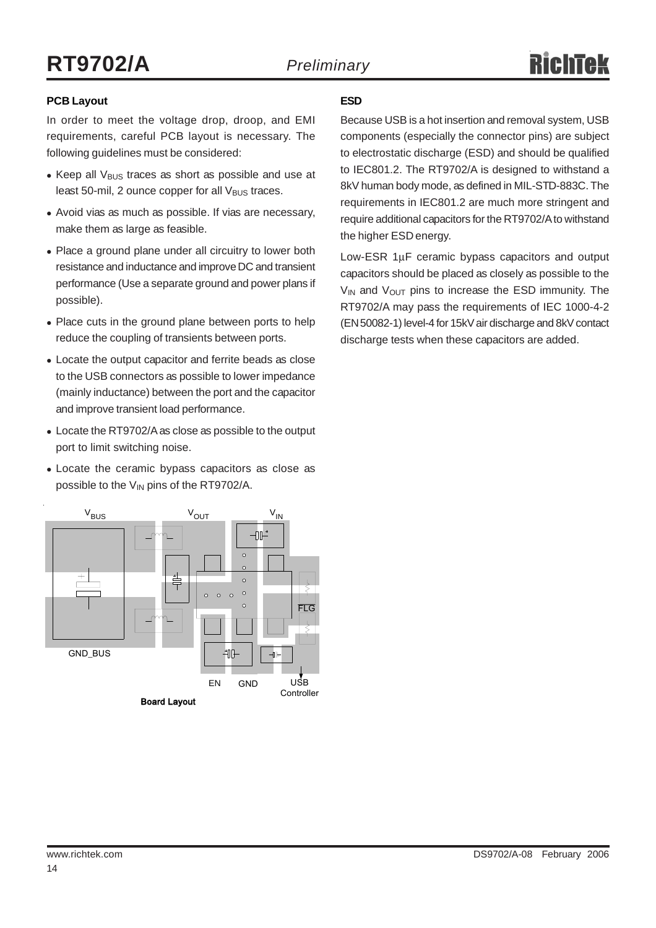#### **PCB Layout**

In order to meet the voltage drop, droop, and EMI requirements, careful PCB layout is necessary. The following guidelines must be considered:

- $\bullet$  Keep all V<sub>BUS</sub> traces as short as possible and use at least 50-mil, 2 ounce copper for all  $V_{\text{BUS}}$  traces.
- Avoid vias as much as possible. If vias are necessary, make them as large as feasible.
- Place a ground plane under all circuitry to lower both resistance and inductance and improve DC and transient performance (Use a separate ground and power plans if possible).
- Place cuts in the ground plane between ports to help reduce the coupling of transients between ports.
- Locate the output capacitor and ferrite beads as close to the USB connectors as possible to lower impedance (mainly inductance) between the port and the capacitor and improve transient load performance.
- Locate the RT9702/A as close as possible to the output port to limit switching noise.
- Locate the ceramic bypass capacitors as close as possible to the  $V_{IN}$  pins of the RT9702/A.



#### **ESD**

Because USB is a hot insertion and removal system, USB components (especially the connector pins) are subject to electrostatic discharge (ESD) and should be qualified to IEC801.2. The RT9702/A is designed to withstand a 8kV human body mode, as defined in MIL-STD-883C. The requirements in IEC801.2 are much more stringent and require additional capacitors for the RT9702/A to withstand the higher ESD energy.

Low-ESR 1μF ceramic bypass capacitors and output capacitors should be placed as closely as possible to the  $V_{IN}$  and  $V_{OUT}$  pins to increase the ESD immunity. The RT9702/A may pass the requirements of IEC 1000-4-2 (EN 50082-1) level-4 for 15kV air discharge and 8kV contact discharge tests when these capacitors are added.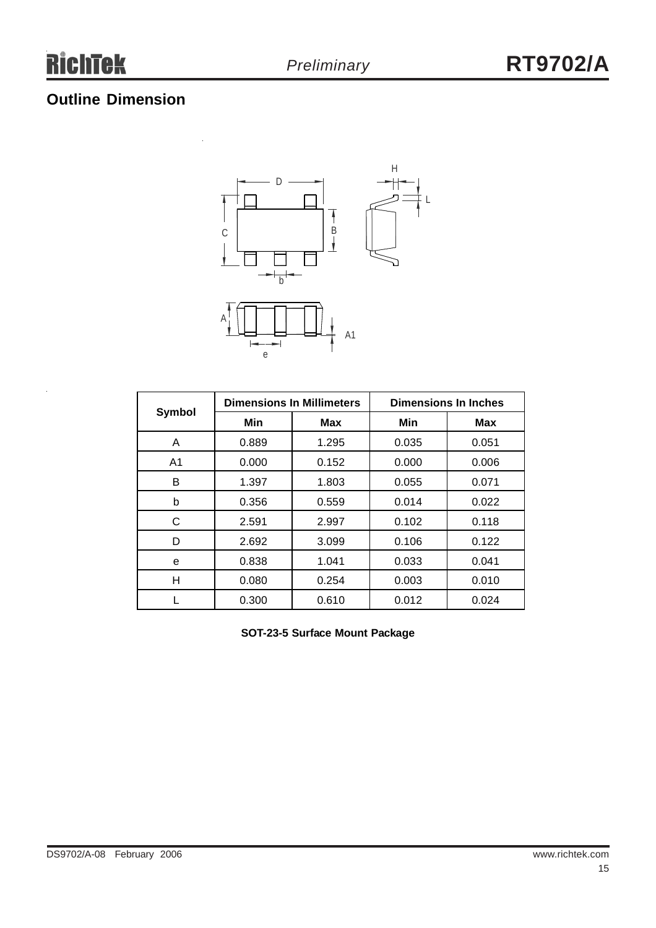# **Outline Dimension**



|                |       | <b>Dimensions In Millimeters</b> | <b>Dimensions In Inches</b> |       |  |
|----------------|-------|----------------------------------|-----------------------------|-------|--|
| <b>Symbol</b>  | Min   | Max                              | Min                         | Max   |  |
| A              | 0.889 | 1.295                            | 0.035                       | 0.051 |  |
| A <sub>1</sub> | 0.000 | 0.152                            | 0.000                       | 0.006 |  |
| B              | 1.397 | 1.803                            | 0.055                       | 0.071 |  |
| b              | 0.356 | 0.559                            | 0.014                       | 0.022 |  |
| С              | 2.591 | 2.997                            | 0.102                       | 0.118 |  |
| D              | 2.692 | 3.099                            | 0.106                       | 0.122 |  |
| е              | 0.838 | 1.041                            | 0.033                       | 0.041 |  |
| н              | 0.080 | 0.254                            | 0.003                       | 0.010 |  |
|                | 0.300 | 0.610                            | 0.012                       | 0.024 |  |

**SOT-23-5 Surface Mount Package**